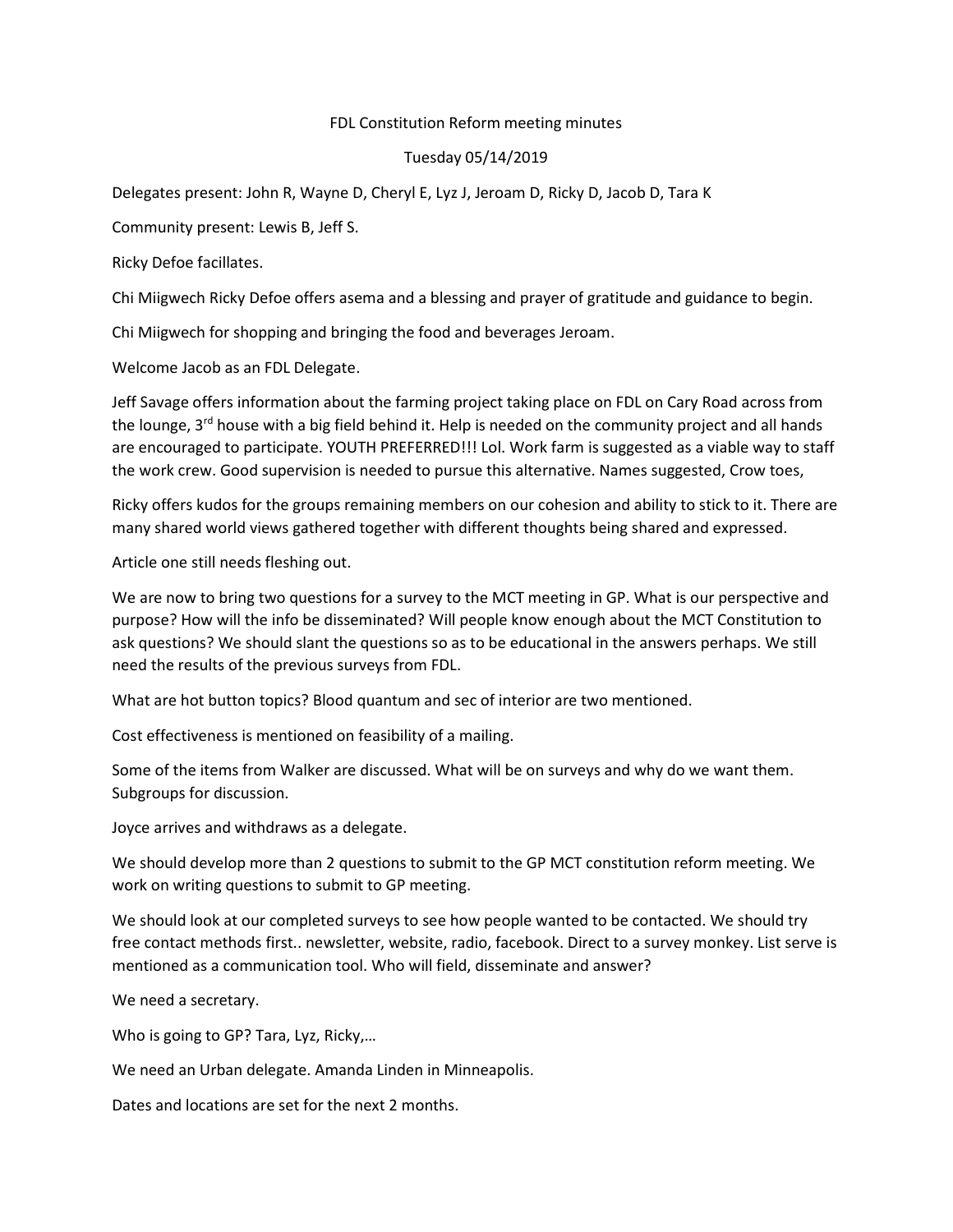## FDL Constitution Reform meeting minutes

## Tuesday 05/14/2019

Delegates present: John R, Wayne D, Cheryl E, Lyz J, Jeroam D, Ricky D, Jacob D, Tara K

Community present: Lewis B, Jeff S.

Ricky Defoe facillates.

Chi Miigwech Ricky Defoe offers asema and a blessing and prayer of gratitude and guidance to begin.

Chi Miigwech for shopping and bringing the food and beverages Jeroam.

Welcome Jacob as an FDL Delegate.

Jeff Savage offers information about the farming project taking place on FDL on Cary Road across from the lounge, 3<sup>rd</sup> house with a big field behind it. Help is needed on the community project and all hands are encouraged to participate. YOUTH PREFERRED!!! Lol. Work farm is suggested as a viable way to staff the work crew. Good supervision is needed to pursue this alternative. Names suggested, Crow toes,

Ricky offers kudos for the groups remaining members on our cohesion and ability to stick to it. There are many shared world views gathered together with different thoughts being shared and expressed.

Article one still needs fleshing out.

We are now to bring two questions for a survey to the MCT meeting in GP. What is our perspective and purpose? How will the info be disseminated? Will people know enough about the MCT Constitution to ask questions? We should slant the questions so as to be educational in the answers perhaps. We still need the results of the previous surveys from FDL.

What are hot button topics? Blood quantum and sec of interior are two mentioned.

Cost effectiveness is mentioned on feasibility of a mailing.

Some of the items from Walker are discussed. What will be on surveys and why do we want them. Subgroups for discussion.

Joyce arrives and withdraws as a delegate.

We should develop more than 2 questions to submit to the GP MCT constitution reform meeting. We work on writing questions to submit to GP meeting.

We should look at our completed surveys to see how people wanted to be contacted. We should try free contact methods first.. newsletter, website, radio, facebook. Direct to a survey monkey. List serve is mentioned as a communication tool. Who will field, disseminate and answer?

We need a secretary.

Who is going to GP? Tara, Lyz, Ricky,…

We need an Urban delegate. Amanda Linden in Minneapolis.

Dates and locations are set for the next 2 months.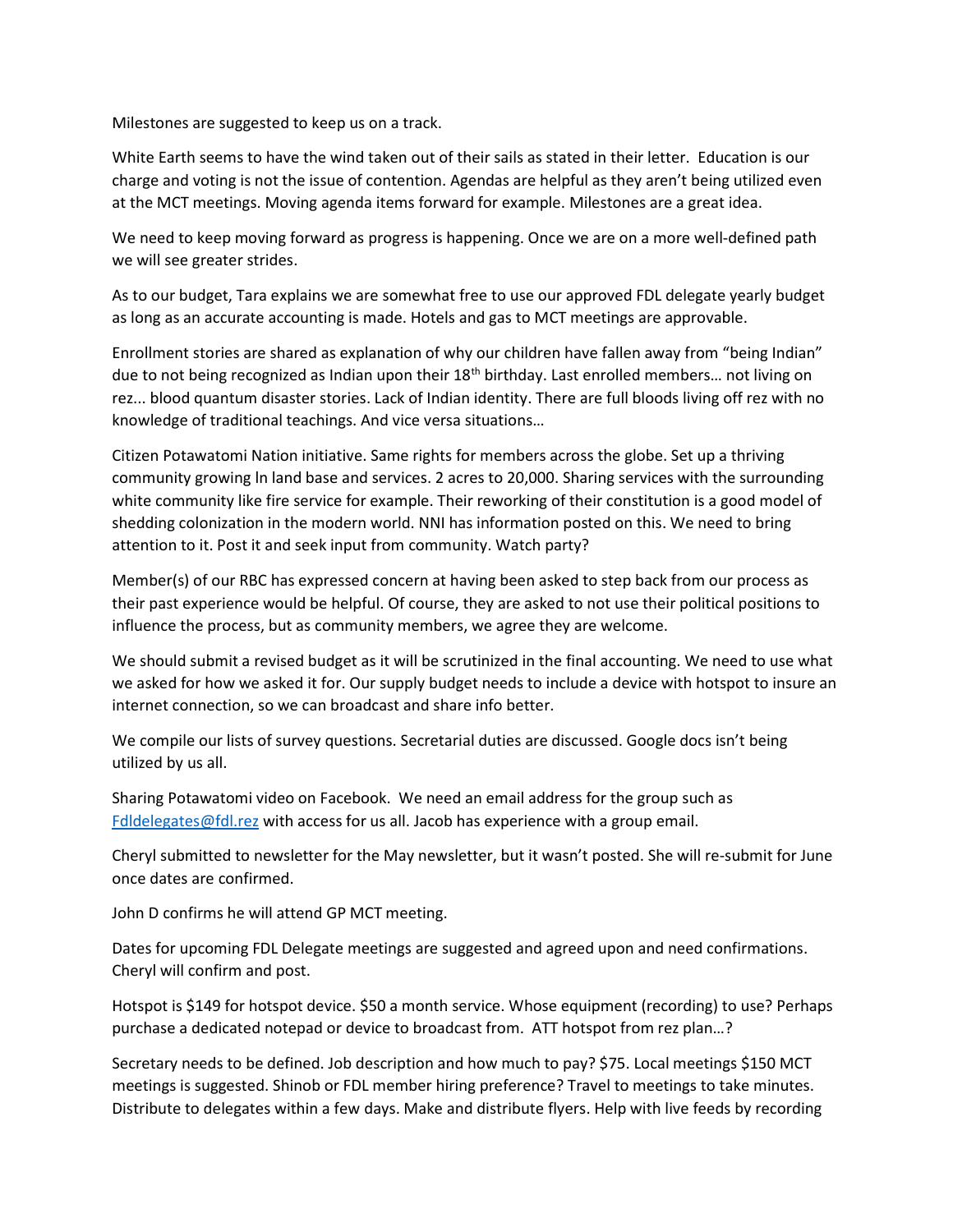Milestones are suggested to keep us on a track.

White Earth seems to have the wind taken out of their sails as stated in their letter. Education is our charge and voting is not the issue of contention. Agendas are helpful as they aren't being utilized even at the MCT meetings. Moving agenda items forward for example. Milestones are a great idea.

We need to keep moving forward as progress is happening. Once we are on a more well-defined path we will see greater strides.

As to our budget, Tara explains we are somewhat free to use our approved FDL delegate yearly budget as long as an accurate accounting is made. Hotels and gas to MCT meetings are approvable.

Enrollment stories are shared as explanation of why our children have fallen away from "being Indian" due to not being recognized as Indian upon their  $18<sup>th</sup>$  birthday. Last enrolled members... not living on rez... blood quantum disaster stories. Lack of Indian identity. There are full bloods living off rez with no knowledge of traditional teachings. And vice versa situations…

Citizen Potawatomi Nation initiative. Same rights for members across the globe. Set up a thriving community growing ln land base and services. 2 acres to 20,000. Sharing services with the surrounding white community like fire service for example. Their reworking of their constitution is a good model of shedding colonization in the modern world. NNI has information posted on this. We need to bring attention to it. Post it and seek input from community. Watch party?

Member(s) of our RBC has expressed concern at having been asked to step back from our process as their past experience would be helpful. Of course, they are asked to not use their political positions to influence the process, but as community members, we agree they are welcome.

We should submit a revised budget as it will be scrutinized in the final accounting. We need to use what we asked for how we asked it for. Our supply budget needs to include a device with hotspot to insure an internet connection, so we can broadcast and share info better.

We compile our lists of survey questions. Secretarial duties are discussed. Google docs isn't being utilized by us all.

Sharing Potawatomi video on Facebook. We need an email address for the group such as Fdldelegates@fdl.rez with access for us all. Jacob has experience with a group email.

Cheryl submitted to newsletter for the May newsletter, but it wasn't posted. She will re-submit for June once dates are confirmed.

John D confirms he will attend GP MCT meeting.

Dates for upcoming FDL Delegate meetings are suggested and agreed upon and need confirmations. Cheryl will confirm and post.

Hotspot is \$149 for hotspot device. \$50 a month service. Whose equipment (recording) to use? Perhaps purchase a dedicated notepad or device to broadcast from. ATT hotspot from rez plan…?

Secretary needs to be defined. Job description and how much to pay? \$75. Local meetings \$150 MCT meetings is suggested. Shinob or FDL member hiring preference? Travel to meetings to take minutes. Distribute to delegates within a few days. Make and distribute flyers. Help with live feeds by recording